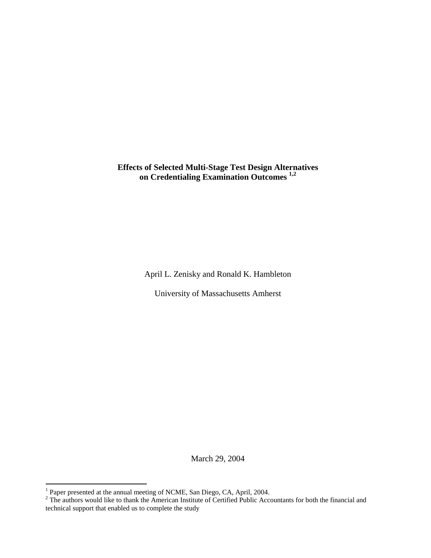# **Effects of Selected Multi-Stage Test Design Alternatives on Credentialing Examination Outcomes [1,](#page-0-0)[2](#page-0-1)**

April L. Zenisky and Ronald K. Hambleton

University of Massachusetts Amherst

March 29, 2004

<span id="page-0-1"></span><span id="page-0-0"></span>

<sup>&</sup>lt;sup>1</sup> Paper presented at the annual meeting of NCME, San Diego, CA, April, 2004.<br><sup>2</sup> The authors would like to thank the American Institute of Certified Public Accountants for both the financial and technical support that enabled us to complete the study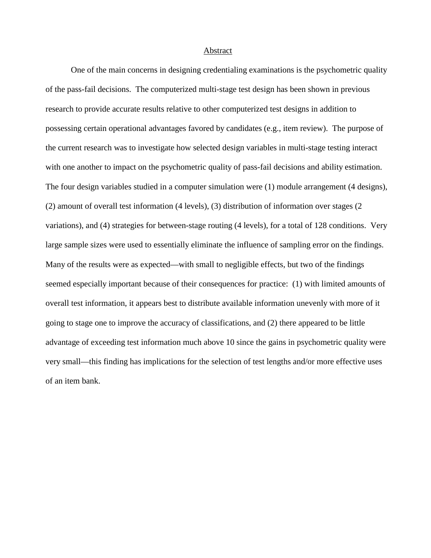# Abstract

One of the main concerns in designing credentialing examinations is the psychometric quality of the pass-fail decisions. The computerized multi-stage test design has been shown in previous research to provide accurate results relative to other computerized test designs in addition to possessing certain operational advantages favored by candidates (e.g., item review). The purpose of the current research was to investigate how selected design variables in multi-stage testing interact with one another to impact on the psychometric quality of pass-fail decisions and ability estimation. The four design variables studied in a computer simulation were (1) module arrangement (4 designs), (2) amount of overall test information (4 levels), (3) distribution of information over stages (2 variations), and (4) strategies for between-stage routing (4 levels), for a total of 128 conditions. Very large sample sizes were used to essentially eliminate the influence of sampling error on the findings. Many of the results were as expected—with small to negligible effects, but two of the findings seemed especially important because of their consequences for practice: (1) with limited amounts of overall test information, it appears best to distribute available information unevenly with more of it going to stage one to improve the accuracy of classifications, and (2) there appeared to be little advantage of exceeding test information much above 10 since the gains in psychometric quality were very small—this finding has implications for the selection of test lengths and/or more effective uses of an item bank.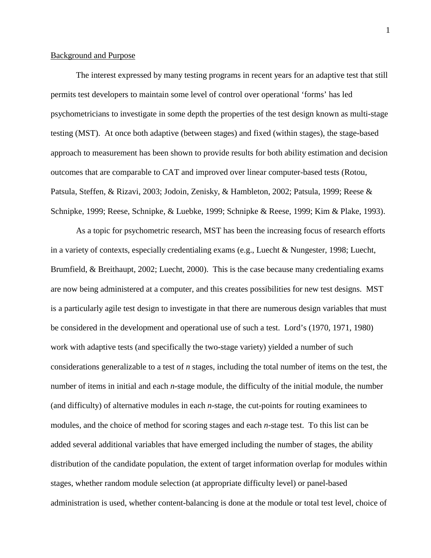### Background and Purpose

 The interest expressed by many testing programs in recent years for an adaptive test that still permits test developers to maintain some level of control over operational 'forms' has led psychometricians to investigate in some depth the properties of the test design known as multi-stage testing (MST). At once both adaptive (between stages) and fixed (within stages), the stage-based approach to measurement has been shown to provide results for both ability estimation and decision outcomes that are comparable to CAT and improved over linear computer-based tests (Rotou, Patsula, Steffen, & Rizavi, 2003; Jodoin, Zenisky, & Hambleton, 2002; Patsula, 1999; Reese & Schnipke, 1999; Reese, Schnipke, & Luebke, 1999; Schnipke & Reese, 1999; Kim & Plake, 1993).

As a topic for psychometric research, MST has been the increasing focus of research efforts in a variety of contexts, especially credentialing exams (e.g., Luecht & Nungester, 1998; Luecht, Brumfield, & Breithaupt, 2002; Luecht, 2000). This is the case because many credentialing exams are now being administered at a computer, and this creates possibilities for new test designs. MST is a particularly agile test design to investigate in that there are numerous design variables that must be considered in the development and operational use of such a test. Lord's (1970, 1971, 1980) work with adaptive tests (and specifically the two-stage variety) yielded a number of such considerations generalizable to a test of *n* stages, including the total number of items on the test, the number of items in initial and each *n*-stage module, the difficulty of the initial module, the number (and difficulty) of alternative modules in each *n*-stage, the cut-points for routing examinees to modules, and the choice of method for scoring stages and each *n*-stage test. To this list can be added several additional variables that have emerged including the number of stages, the ability distribution of the candidate population, the extent of target information overlap for modules within stages, whether random module selection (at appropriate difficulty level) or panel-based administration is used, whether content-balancing is done at the module or total test level, choice of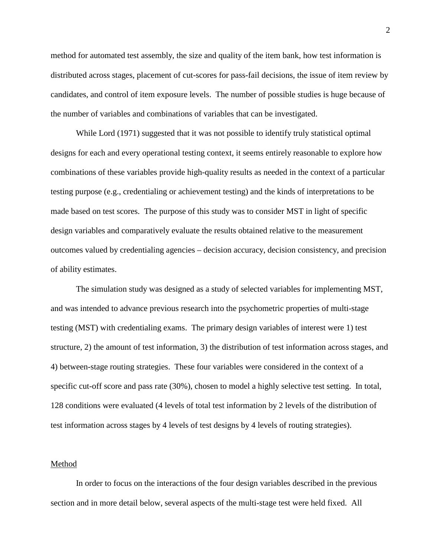method for automated test assembly, the size and quality of the item bank, how test information is distributed across stages, placement of cut-scores for pass-fail decisions, the issue of item review by candidates, and control of item exposure levels. The number of possible studies is huge because of the number of variables and combinations of variables that can be investigated.

While Lord (1971) suggested that it was not possible to identify truly statistical optimal designs for each and every operational testing context, it seems entirely reasonable to explore how combinations of these variables provide high-quality results as needed in the context of a particular testing purpose (e.g., credentialing or achievement testing) and the kinds of interpretations to be made based on test scores. The purpose of this study was to consider MST in light of specific design variables and comparatively evaluate the results obtained relative to the measurement outcomes valued by credentialing agencies – decision accuracy, decision consistency, and precision of ability estimates.

The simulation study was designed as a study of selected variables for implementing MST, and was intended to advance previous research into the psychometric properties of multi-stage testing (MST) with credentialing exams. The primary design variables of interest were 1) test structure, 2) the amount of test information, 3) the distribution of test information across stages, and 4) between-stage routing strategies. These four variables were considered in the context of a specific cut-off score and pass rate (30%), chosen to model a highly selective test setting. In total, 128 conditions were evaluated (4 levels of total test information by 2 levels of the distribution of test information across stages by 4 levels of test designs by 4 levels of routing strategies).

# Method

 In order to focus on the interactions of the four design variables described in the previous section and in more detail below, several aspects of the multi-stage test were held fixed. All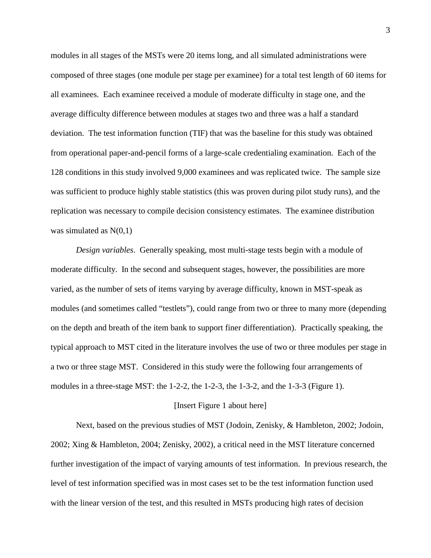modules in all stages of the MSTs were 20 items long, and all simulated administrations were composed of three stages (one module per stage per examinee) for a total test length of 60 items for all examinees. Each examinee received a module of moderate difficulty in stage one, and the average difficulty difference between modules at stages two and three was a half a standard deviation. The test information function (TIF) that was the baseline for this study was obtained from operational paper-and-pencil forms of a large-scale credentialing examination. Each of the 128 conditions in this study involved 9,000 examinees and was replicated twice. The sample size was sufficient to produce highly stable statistics (this was proven during pilot study runs), and the replication was necessary to compile decision consistency estimates. The examinee distribution was simulated as  $N(0,1)$ 

*Design variables*.Generally speaking, most multi-stage tests begin with a module of moderate difficulty. In the second and subsequent stages, however, the possibilities are more varied, as the number of sets of items varying by average difficulty, known in MST-speak as modules (and sometimes called "testlets"), could range from two or three to many more (depending on the depth and breath of the item bank to support finer differentiation). Practically speaking, the typical approach to MST cited in the literature involves the use of two or three modules per stage in a two or three stage MST. Considered in this study were the following four arrangements of modules in a three-stage MST: the 1-2-2, the 1-2-3, the 1-3-2, and the 1-3-3 (Figure 1).

### [Insert Figure 1 about here]

Next, based on the previous studies of MST (Jodoin, Zenisky, & Hambleton, 2002; Jodoin, 2002; Xing & Hambleton, 2004; Zenisky, 2002), a critical need in the MST literature concerned further investigation of the impact of varying amounts of test information. In previous research, the level of test information specified was in most cases set to be the test information function used with the linear version of the test, and this resulted in MSTs producing high rates of decision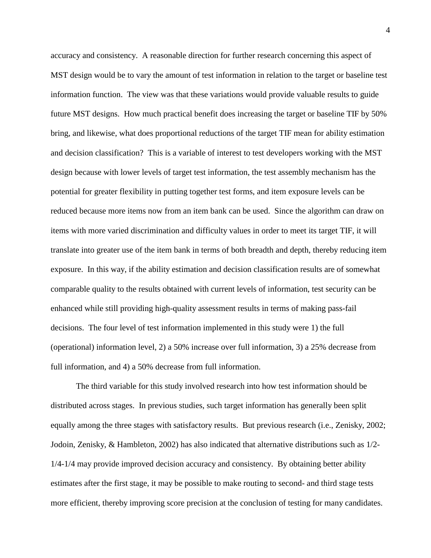accuracy and consistency. A reasonable direction for further research concerning this aspect of MST design would be to vary the amount of test information in relation to the target or baseline test information function. The view was that these variations would provide valuable results to guide future MST designs. How much practical benefit does increasing the target or baseline TIF by 50% bring, and likewise, what does proportional reductions of the target TIF mean for ability estimation and decision classification? This is a variable of interest to test developers working with the MST design because with lower levels of target test information, the test assembly mechanism has the potential for greater flexibility in putting together test forms, and item exposure levels can be reduced because more items now from an item bank can be used. Since the algorithm can draw on items with more varied discrimination and difficulty values in order to meet its target TIF, it will translate into greater use of the item bank in terms of both breadth and depth, thereby reducing item exposure. In this way, if the ability estimation and decision classification results are of somewhat comparable quality to the results obtained with current levels of information, test security can be enhanced while still providing high-quality assessment results in terms of making pass-fail decisions. The four level of test information implemented in this study were 1) the full (operational) information level, 2) a 50% increase over full information, 3) a 25% decrease from full information, and 4) a 50% decrease from full information.

The third variable for this study involved research into how test information should be distributed across stages. In previous studies, such target information has generally been split equally among the three stages with satisfactory results. But previous research (i.e., Zenisky, 2002; Jodoin, Zenisky, & Hambleton, 2002) has also indicated that alternative distributions such as 1/2- 1/4-1/4 may provide improved decision accuracy and consistency. By obtaining better ability estimates after the first stage, it may be possible to make routing to second- and third stage tests more efficient, thereby improving score precision at the conclusion of testing for many candidates.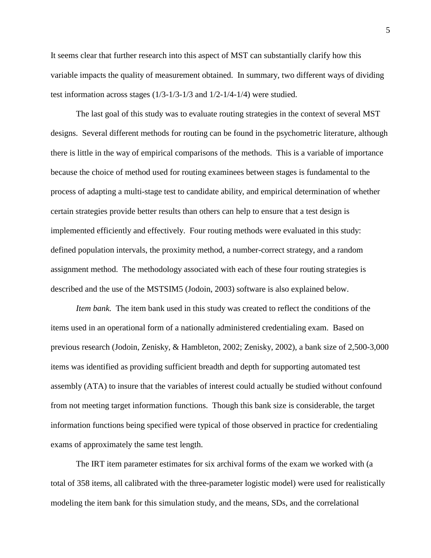It seems clear that further research into this aspect of MST can substantially clarify how this variable impacts the quality of measurement obtained. In summary, two different ways of dividing test information across stages (1/3-1/3-1/3 and 1/2-1/4-1/4) were studied.

The last goal of this study was to evaluate routing strategies in the context of several MST designs. Several different methods for routing can be found in the psychometric literature, although there is little in the way of empirical comparisons of the methods. This is a variable of importance because the choice of method used for routing examinees between stages is fundamental to the process of adapting a multi-stage test to candidate ability, and empirical determination of whether certain strategies provide better results than others can help to ensure that a test design is implemented efficiently and effectively. Four routing methods were evaluated in this study: defined population intervals, the proximity method, a number-correct strategy, and a random assignment method. The methodology associated with each of these four routing strategies is described and the use of the MSTSIM5 (Jodoin, 2003) software is also explained below.

*Item bank.* The item bank used in this study was created to reflect the conditions of the items used in an operational form of a nationally administered credentialing exam. Based on previous research (Jodoin, Zenisky, & Hambleton, 2002; Zenisky, 2002), a bank size of 2,500-3,000 items was identified as providing sufficient breadth and depth for supporting automated test assembly (ATA) to insure that the variables of interest could actually be studied without confound from not meeting target information functions. Though this bank size is considerable, the target information functions being specified were typical of those observed in practice for credentialing exams of approximately the same test length.

The IRT item parameter estimates for six archival forms of the exam we worked with (a total of 358 items, all calibrated with the three-parameter logistic model) were used for realistically modeling the item bank for this simulation study, and the means, SDs, and the correlational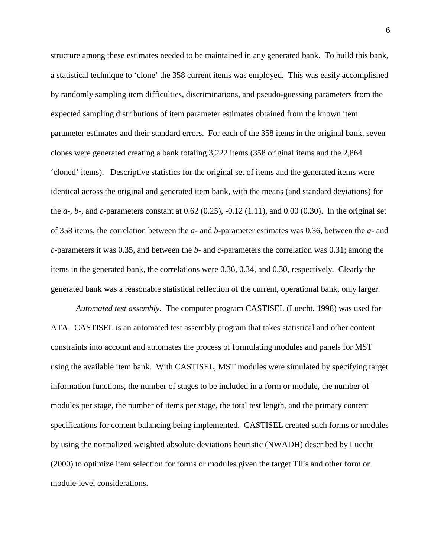structure among these estimates needed to be maintained in any generated bank. To build this bank, a statistical technique to 'clone' the 358 current items was employed. This was easily accomplished by randomly sampling item difficulties, discriminations, and pseudo-guessing parameters from the expected sampling distributions of item parameter estimates obtained from the known item parameter estimates and their standard errors. For each of the 358 items in the original bank, seven clones were generated creating a bank totaling 3,222 items (358 original items and the 2,864 'cloned' items). Descriptive statistics for the original set of items and the generated items were identical across the original and generated item bank, with the means (and standard deviations) for the *a*-, *b*-, and *c*-parameters constant at 0.62 (0.25), -0.12 (1.11), and 0.00 (0.30). In the original set of 358 items, the correlation between the *a*- and *b*-parameter estimates was 0.36, between the *a*- and *c*-parameters it was 0.35, and between the *b*- and *c*-parameters the correlation was 0.31; among the items in the generated bank, the correlations were 0.36, 0.34, and 0.30, respectively. Clearly the generated bank was a reasonable statistical reflection of the current, operational bank, only larger.

*Automated test assembly*. The computer program CASTISEL (Luecht, 1998) was used for ATA. CASTISEL is an automated test assembly program that takes statistical and other content constraints into account and automates the process of formulating modules and panels for MST using the available item bank. With CASTISEL, MST modules were simulated by specifying target information functions, the number of stages to be included in a form or module, the number of modules per stage, the number of items per stage, the total test length, and the primary content specifications for content balancing being implemented. CASTISEL created such forms or modules by using the normalized weighted absolute deviations heuristic (NWADH) described by Luecht (2000) to optimize item selection for forms or modules given the target TIFs and other form or module-level considerations.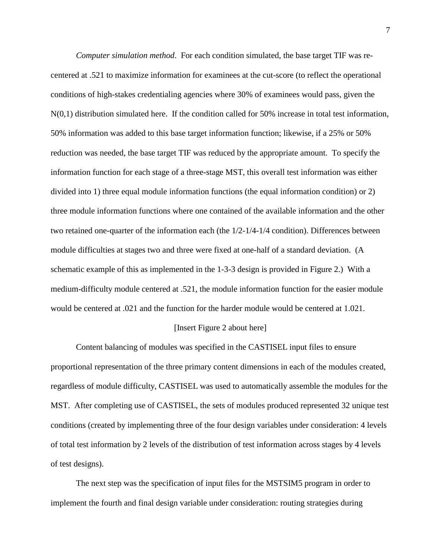*Computer simulation method*. For each condition simulated, the base target TIF was recentered at .521 to maximize information for examinees at the cut-score (to reflect the operational conditions of high-stakes credentialing agencies where 30% of examinees would pass, given the  $N(0,1)$  distribution simulated here. If the condition called for 50% increase in total test information, 50% information was added to this base target information function; likewise, if a 25% or 50% reduction was needed, the base target TIF was reduced by the appropriate amount. To specify the information function for each stage of a three-stage MST, this overall test information was either divided into 1) three equal module information functions (the equal information condition) or 2) three module information functions where one contained of the available information and the other two retained one-quarter of the information each (the 1/2-1/4-1/4 condition). Differences between module difficulties at stages two and three were fixed at one-half of a standard deviation. (A schematic example of this as implemented in the 1-3-3 design is provided in Figure 2.) With a medium-difficulty module centered at .521, the module information function for the easier module would be centered at .021 and the function for the harder module would be centered at 1.021.

#### [Insert Figure 2 about here]

Content balancing of modules was specified in the CASTISEL input files to ensure proportional representation of the three primary content dimensions in each of the modules created, regardless of module difficulty, CASTISEL was used to automatically assemble the modules for the MST. After completing use of CASTISEL, the sets of modules produced represented 32 unique test conditions (created by implementing three of the four design variables under consideration: 4 levels of total test information by 2 levels of the distribution of test information across stages by 4 levels of test designs).

The next step was the specification of input files for the MSTSIM5 program in order to implement the fourth and final design variable under consideration: routing strategies during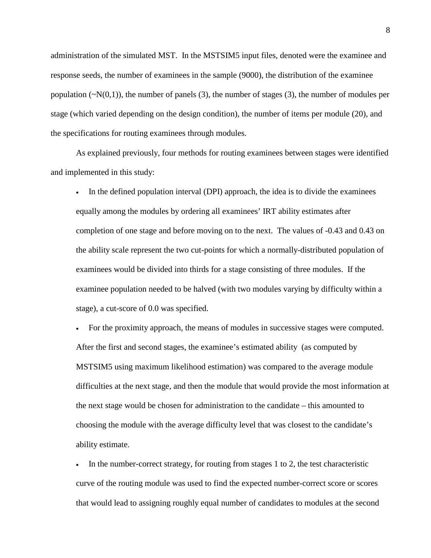administration of the simulated MST. In the MSTSIM5 input files, denoted were the examinee and response seeds, the number of examinees in the sample (9000), the distribution of the examinee population  $(\sim N(0,1))$ , the number of panels (3), the number of stages (3), the number of modules per stage (which varied depending on the design condition), the number of items per module (20), and the specifications for routing examinees through modules.

As explained previously, four methods for routing examinees between stages were identified and implemented in this study:

In the defined population interval (DPI) approach, the idea is to divide the examinees equally among the modules by ordering all examinees' IRT ability estimates after completion of one stage and before moving on to the next. The values of -0.43 and 0.43 on the ability scale represent the two cut-points for which a normally-distributed population of examinees would be divided into thirds for a stage consisting of three modules. If the examinee population needed to be halved (with two modules varying by difficulty within a stage), a cut-score of 0.0 was specified.

• For the proximity approach, the means of modules in successive stages were computed. After the first and second stages, the examinee's estimated ability (as computed by MSTSIM5 using maximum likelihood estimation) was compared to the average module difficulties at the next stage, and then the module that would provide the most information at the next stage would be chosen for administration to the candidate – this amounted to choosing the module with the average difficulty level that was closest to the candidate's ability estimate.

• In the number-correct strategy, for routing from stages 1 to 2, the test characteristic curve of the routing module was used to find the expected number-correct score or scores that would lead to assigning roughly equal number of candidates to modules at the second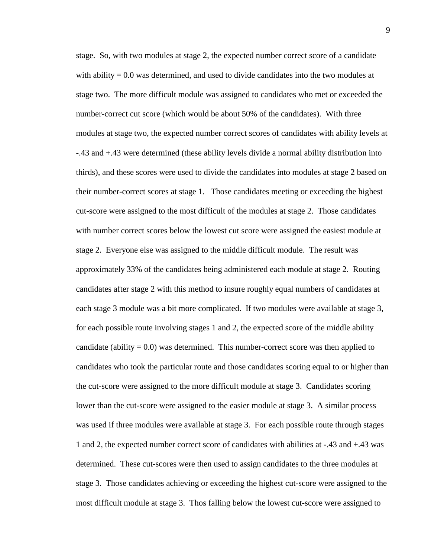stage. So, with two modules at stage 2, the expected number correct score of a candidate with ability  $= 0.0$  was determined, and used to divide candidates into the two modules at stage two. The more difficult module was assigned to candidates who met or exceeded the number-correct cut score (which would be about 50% of the candidates). With three modules at stage two, the expected number correct scores of candidates with ability levels at -.43 and +.43 were determined (these ability levels divide a normal ability distribution into thirds), and these scores were used to divide the candidates into modules at stage 2 based on their number-correct scores at stage 1. Those candidates meeting or exceeding the highest cut-score were assigned to the most difficult of the modules at stage 2. Those candidates with number correct scores below the lowest cut score were assigned the easiest module at stage 2. Everyone else was assigned to the middle difficult module. The result was approximately 33% of the candidates being administered each module at stage 2. Routing candidates after stage 2 with this method to insure roughly equal numbers of candidates at each stage 3 module was a bit more complicated. If two modules were available at stage 3, for each possible route involving stages 1 and 2, the expected score of the middle ability candidate (ability  $= 0.0$ ) was determined. This number-correct score was then applied to candidates who took the particular route and those candidates scoring equal to or higher than the cut-score were assigned to the more difficult module at stage 3. Candidates scoring lower than the cut-score were assigned to the easier module at stage 3. A similar process was used if three modules were available at stage 3. For each possible route through stages 1 and 2, the expected number correct score of candidates with abilities at -.43 and +.43 was determined. These cut-scores were then used to assign candidates to the three modules at stage 3. Those candidates achieving or exceeding the highest cut-score were assigned to the most difficult module at stage 3. Thos falling below the lowest cut-score were assigned to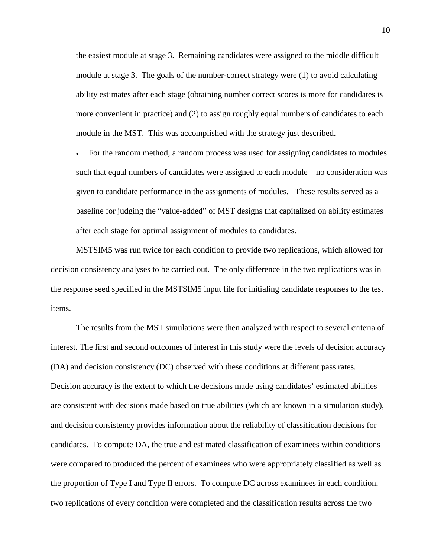the easiest module at stage 3. Remaining candidates were assigned to the middle difficult module at stage 3. The goals of the number-correct strategy were (1) to avoid calculating ability estimates after each stage (obtaining number correct scores is more for candidates is more convenient in practice) and (2) to assign roughly equal numbers of candidates to each module in the MST. This was accomplished with the strategy just described.

• For the random method, a random process was used for assigning candidates to modules such that equal numbers of candidates were assigned to each module—no consideration was given to candidate performance in the assignments of modules. These results served as a baseline for judging the "value-added" of MST designs that capitalized on ability estimates after each stage for optimal assignment of modules to candidates.

MSTSIM5 was run twice for each condition to provide two replications, which allowed for decision consistency analyses to be carried out. The only difference in the two replications was in the response seed specified in the MSTSIM5 input file for initialing candidate responses to the test items.

The results from the MST simulations were then analyzed with respect to several criteria of interest. The first and second outcomes of interest in this study were the levels of decision accuracy (DA) and decision consistency (DC) observed with these conditions at different pass rates. Decision accuracy is the extent to which the decisions made using candidates' estimated abilities are consistent with decisions made based on true abilities (which are known in a simulation study), and decision consistency provides information about the reliability of classification decisions for candidates. To compute DA, the true and estimated classification of examinees within conditions were compared to produced the percent of examinees who were appropriately classified as well as the proportion of Type I and Type II errors. To compute DC across examinees in each condition, two replications of every condition were completed and the classification results across the two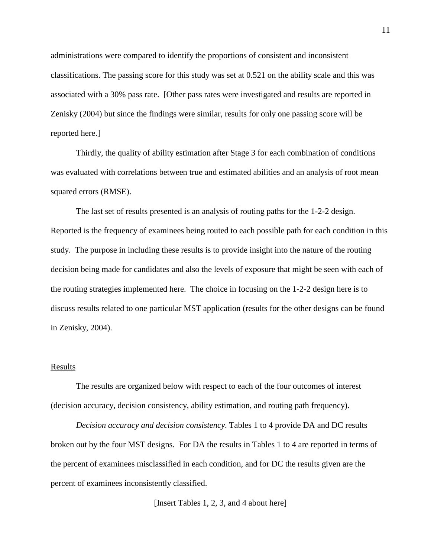administrations were compared to identify the proportions of consistent and inconsistent classifications. The passing score for this study was set at 0.521 on the ability scale and this was associated with a 30% pass rate. [Other pass rates were investigated and results are reported in Zenisky (2004) but since the findings were similar, results for only one passing score will be reported here.]

Thirdly, the quality of ability estimation after Stage 3 for each combination of conditions was evaluated with correlations between true and estimated abilities and an analysis of root mean squared errors (RMSE).

The last set of results presented is an analysis of routing paths for the 1-2-2 design. Reported is the frequency of examinees being routed to each possible path for each condition in this study. The purpose in including these results is to provide insight into the nature of the routing decision being made for candidates and also the levels of exposure that might be seen with each of the routing strategies implemented here. The choice in focusing on the 1-2-2 design here is to discuss results related to one particular MST application (results for the other designs can be found in Zenisky, 2004).

### Results

The results are organized below with respect to each of the four outcomes of interest (decision accuracy, decision consistency, ability estimation, and routing path frequency).

*Decision accuracy and decision consistency*. Tables 1 to 4 provide DA and DC results broken out by the four MST designs. For DA the results in Tables 1 to 4 are reported in terms of the percent of examinees misclassified in each condition, and for DC the results given are the percent of examinees inconsistently classified.

[Insert Tables 1, 2, 3, and 4 about here]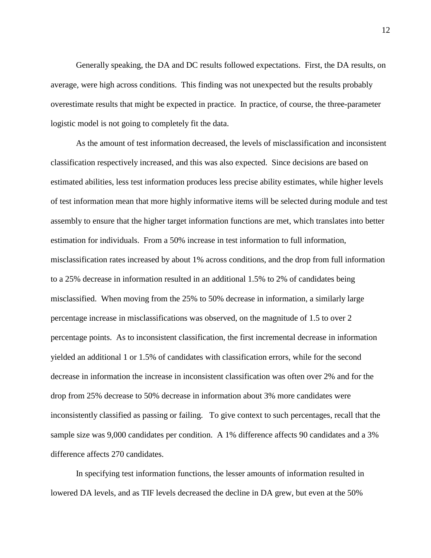Generally speaking, the DA and DC results followed expectations. First, the DA results, on average, were high across conditions. This finding was not unexpected but the results probably overestimate results that might be expected in practice. In practice, of course, the three-parameter logistic model is not going to completely fit the data.

As the amount of test information decreased, the levels of misclassification and inconsistent classification respectively increased, and this was also expected. Since decisions are based on estimated abilities, less test information produces less precise ability estimates, while higher levels of test information mean that more highly informative items will be selected during module and test assembly to ensure that the higher target information functions are met, which translates into better estimation for individuals. From a 50% increase in test information to full information, misclassification rates increased by about 1% across conditions, and the drop from full information to a 25% decrease in information resulted in an additional 1.5% to 2% of candidates being misclassified. When moving from the 25% to 50% decrease in information, a similarly large percentage increase in misclassifications was observed, on the magnitude of 1.5 to over 2 percentage points. As to inconsistent classification, the first incremental decrease in information yielded an additional 1 or 1.5% of candidates with classification errors, while for the second decrease in information the increase in inconsistent classification was often over 2% and for the drop from 25% decrease to 50% decrease in information about 3% more candidates were inconsistently classified as passing or failing. To give context to such percentages, recall that the sample size was 9,000 candidates per condition. A 1% difference affects 90 candidates and a 3% difference affects 270 candidates.

In specifying test information functions, the lesser amounts of information resulted in lowered DA levels, and as TIF levels decreased the decline in DA grew, but even at the 50%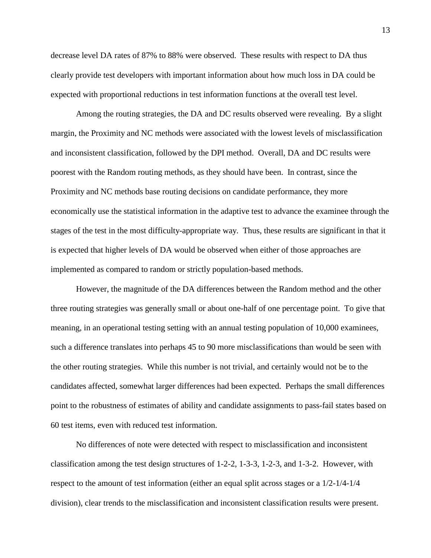decrease level DA rates of 87% to 88% were observed. These results with respect to DA thus clearly provide test developers with important information about how much loss in DA could be expected with proportional reductions in test information functions at the overall test level.

Among the routing strategies, the DA and DC results observed were revealing. By a slight margin, the Proximity and NC methods were associated with the lowest levels of misclassification and inconsistent classification, followed by the DPI method. Overall, DA and DC results were poorest with the Random routing methods, as they should have been. In contrast, since the Proximity and NC methods base routing decisions on candidate performance, they more economically use the statistical information in the adaptive test to advance the examinee through the stages of the test in the most difficulty-appropriate way. Thus, these results are significant in that it is expected that higher levels of DA would be observed when either of those approaches are implemented as compared to random or strictly population-based methods.

However, the magnitude of the DA differences between the Random method and the other three routing strategies was generally small or about one-half of one percentage point. To give that meaning, in an operational testing setting with an annual testing population of 10,000 examinees, such a difference translates into perhaps 45 to 90 more misclassifications than would be seen with the other routing strategies. While this number is not trivial, and certainly would not be to the candidates affected, somewhat larger differences had been expected. Perhaps the small differences point to the robustness of estimates of ability and candidate assignments to pass-fail states based on 60 test items, even with reduced test information.

No differences of note were detected with respect to misclassification and inconsistent classification among the test design structures of 1-2-2, 1-3-3, 1-2-3, and 1-3-2. However, with respect to the amount of test information (either an equal split across stages or a 1/2-1/4-1/4 division), clear trends to the misclassification and inconsistent classification results were present.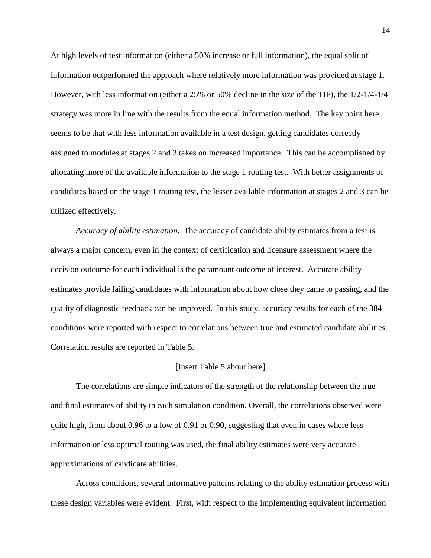At high levels of test information (either a 50% increase or full information), the equal split of information outperformed the approach where relatively more information was provided at stage 1. However, with less information (either a 25% or 50% decline in the size of the TIF), the 1/2-1/4-1/4 strategy was more in line with the results from the equal information method. The key point here seems to be that with less information available in a test design, getting candidates correctly assigned to modules at stages 2 and 3 takes on increased importance. This can be accomplished by allocating more of the available information to the stage 1 routing test. With better assignments of candidates based on the stage 1 routing test, the lesser available information at stages 2 and 3 can be utilized effectively.

*Accuracy of ability estimation*. The accuracy of candidate ability estimates from a test is always a major concern, even in the context of certification and licensure assessment where the decision outcome for each individual is the paramount outcome of interest. Accurate ability estimates provide failing candidates with information about how close they came to passing, and the quality of diagnostic feedback can be improved. In this study, accuracy results for each of the 384 conditions were reported with respect to correlations between true and estimated candidate abilities. Correlation results are reported in Table 5.

### [Insert Table 5 about here]

The correlations are simple indicators of the strength of the relationship between the true and final estimates of ability in each simulation condition. Overall, the correlations observed were quite high, from about 0.96 to a low of 0.91 or 0.90, suggesting that even in cases where less information or less optimal routing was used, the final ability estimates were very accurate approximations of candidate abilities.

Across conditions, several informative patterns relating to the ability estimation process with these design variables were evident. First, with respect to the implementing equivalent information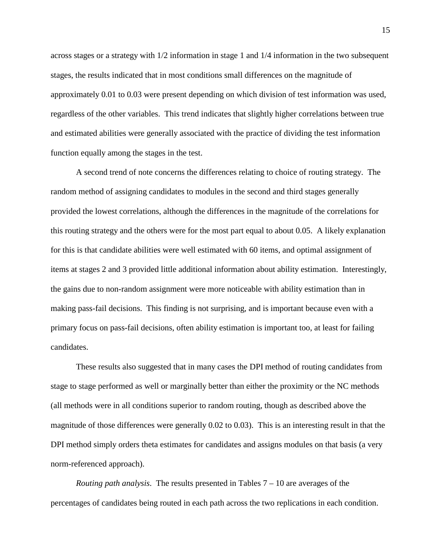across stages or a strategy with 1/2 information in stage 1 and 1/4 information in the two subsequent stages, the results indicated that in most conditions small differences on the magnitude of approximately 0.01 to 0.03 were present depending on which division of test information was used, regardless of the other variables. This trend indicates that slightly higher correlations between true and estimated abilities were generally associated with the practice of dividing the test information function equally among the stages in the test.

A second trend of note concerns the differences relating to choice of routing strategy. The random method of assigning candidates to modules in the second and third stages generally provided the lowest correlations, although the differences in the magnitude of the correlations for this routing strategy and the others were for the most part equal to about 0.05. A likely explanation for this is that candidate abilities were well estimated with 60 items, and optimal assignment of items at stages 2 and 3 provided little additional information about ability estimation. Interestingly, the gains due to non-random assignment were more noticeable with ability estimation than in making pass-fail decisions. This finding is not surprising, and is important because even with a primary focus on pass-fail decisions, often ability estimation is important too, at least for failing candidates.

These results also suggested that in many cases the DPI method of routing candidates from stage to stage performed as well or marginally better than either the proximity or the NC methods (all methods were in all conditions superior to random routing, though as described above the magnitude of those differences were generally 0.02 to 0.03). This is an interesting result in that the DPI method simply orders theta estimates for candidates and assigns modules on that basis (a very norm-referenced approach).

*Routing path analysis*. The results presented in Tables 7 – 10 are averages of the percentages of candidates being routed in each path across the two replications in each condition.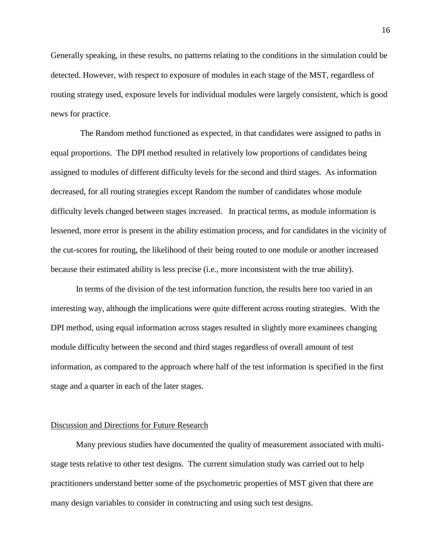Generally speaking, in these results, no patterns relating to the conditions in the simulation could be detected. However, with respect to exposure of modules in each stage of the MST, regardless of routing strategy used, exposure levels for individual modules were largely consistent, which is good news for practice.

 The Random method functioned as expected, in that candidates were assigned to paths in equal proportions. The DPI method resulted in relatively low proportions of candidates being assigned to modules of different difficulty levels for the second and third stages. As information decreased, for all routing strategies except Random the number of candidates whose module difficulty levels changed between stages increased. In practical terms, as module information is lessened, more error is present in the ability estimation process, and for candidates in the vicinity of the cut-scores for routing, the likelihood of their being routed to one module or another increased because their estimated ability is less precise (i.e., more inconsistent with the true ability).

In terms of the division of the test information function, the results here too varied in an interesting way, although the implications were quite different across routing strategies. With the DPI method, using equal information across stages resulted in slightly more examinees changing module difficulty between the second and third stages regardless of overall amount of test information, as compared to the approach where half of the test information is specified in the first stage and a quarter in each of the later stages.

# Discussion and Directions for Future Research

Many previous studies have documented the quality of measurement associated with multistage tests relative to other test designs. The current simulation study was carried out to help practitioners understand better some of the psychometric properties of MST given that there are many design variables to consider in constructing and using such test designs.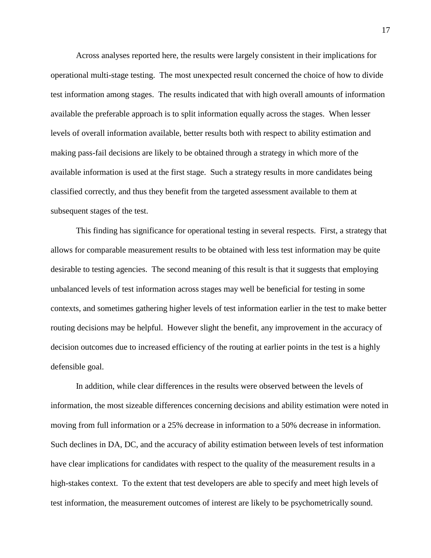Across analyses reported here, the results were largely consistent in their implications for operational multi-stage testing. The most unexpected result concerned the choice of how to divide test information among stages. The results indicated that with high overall amounts of information available the preferable approach is to split information equally across the stages. When lesser levels of overall information available, better results both with respect to ability estimation and making pass-fail decisions are likely to be obtained through a strategy in which more of the available information is used at the first stage. Such a strategy results in more candidates being classified correctly, and thus they benefit from the targeted assessment available to them at subsequent stages of the test.

This finding has significance for operational testing in several respects. First, a strategy that allows for comparable measurement results to be obtained with less test information may be quite desirable to testing agencies. The second meaning of this result is that it suggests that employing unbalanced levels of test information across stages may well be beneficial for testing in some contexts, and sometimes gathering higher levels of test information earlier in the test to make better routing decisions may be helpful. However slight the benefit, any improvement in the accuracy of decision outcomes due to increased efficiency of the routing at earlier points in the test is a highly defensible goal.

In addition, while clear differences in the results were observed between the levels of information, the most sizeable differences concerning decisions and ability estimation were noted in moving from full information or a 25% decrease in information to a 50% decrease in information. Such declines in DA, DC, and the accuracy of ability estimation between levels of test information have clear implications for candidates with respect to the quality of the measurement results in a high-stakes context. To the extent that test developers are able to specify and meet high levels of test information, the measurement outcomes of interest are likely to be psychometrically sound.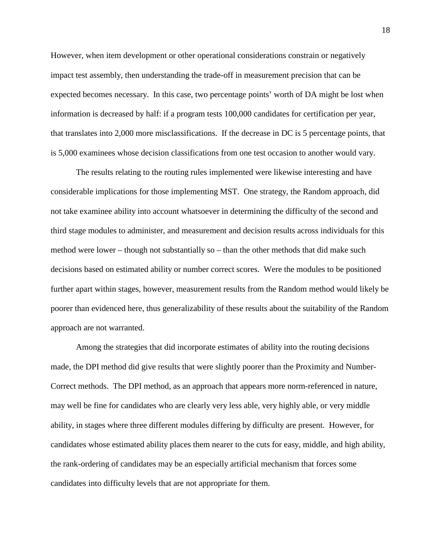However, when item development or other operational considerations constrain or negatively impact test assembly, then understanding the trade-off in measurement precision that can be expected becomes necessary. In this case, two percentage points' worth of DA might be lost when information is decreased by half: if a program tests 100,000 candidates for certification per year, that translates into 2,000 more misclassifications. If the decrease in DC is 5 percentage points, that is 5,000 examinees whose decision classifications from one test occasion to another would vary.

The results relating to the routing rules implemented were likewise interesting and have considerable implications for those implementing MST. One strategy, the Random approach, did not take examinee ability into account whatsoever in determining the difficulty of the second and third stage modules to administer, and measurement and decision results across individuals for this method were lower – though not substantially so – than the other methods that did make such decisions based on estimated ability or number correct scores. Were the modules to be positioned further apart within stages, however, measurement results from the Random method would likely be poorer than evidenced here, thus generalizability of these results about the suitability of the Random approach are not warranted.

Among the strategies that did incorporate estimates of ability into the routing decisions made, the DPI method did give results that were slightly poorer than the Proximity and Number-Correct methods. The DPI method, as an approach that appears more norm-referenced in nature, may well be fine for candidates who are clearly very less able, very highly able, or very middle ability, in stages where three different modules differing by difficulty are present. However, for candidates whose estimated ability places them nearer to the cuts for easy, middle, and high ability, the rank-ordering of candidates may be an especially artificial mechanism that forces some candidates into difficulty levels that are not appropriate for them.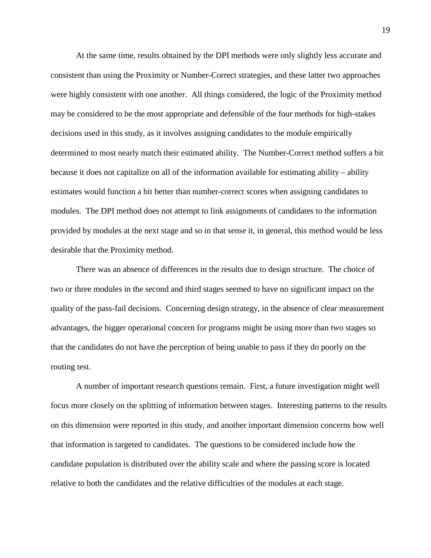At the same time, results obtained by the DPI methods were only slightly less accurate and consistent than using the Proximity or Number-Correct strategies, and these latter two approaches were highly consistent with one another. All things considered, the logic of the Proximity method may be considered to be the most appropriate and defensible of the four methods for high-stakes decisions used in this study, as it involves assigning candidates to the module empirically determined to most nearly match their estimated ability. The Number-Correct method suffers a bit because it does not capitalize on all of the information available for estimating ability – ability estimates would function a bit better than number-correct scores when assigning candidates to modules. The DPI method does not attempt to link assignments of candidates to the information provided by modules at the next stage and so in that sense it, in general, this method would be less desirable that the Proximity method.

There was an absence of differences in the results due to design structure. The choice of two or three modules in the second and third stages seemed to have no significant impact on the quality of the pass-fail decisions. Concerning design strategy, in the absence of clear measurement advantages, the bigger operational concern for programs might be using more than two stages so that the candidates do not have the perception of being unable to pass if they do poorly on the routing test.

A number of important research questions remain. First, a future investigation might well focus more closely on the splitting of information between stages. Interesting patterns to the results on this dimension were reported in this study, and another important dimension concerns how well that information is targeted to candidates. The questions to be considered include how the candidate population is distributed over the ability scale and where the passing score is located relative to both the candidates and the relative difficulties of the modules at each stage.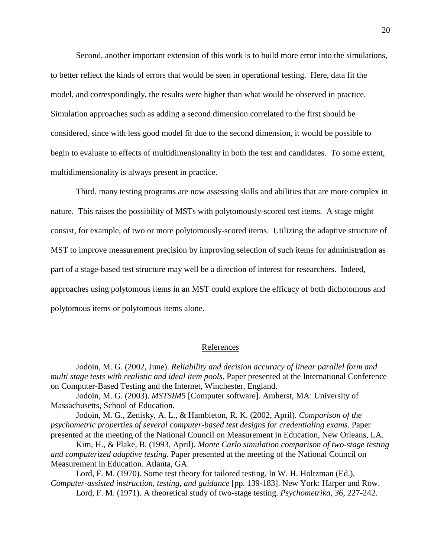Second, another important extension of this work is to build more error into the simulations, to better reflect the kinds of errors that would be seen in operational testing. Here, data fit the model, and correspondingly, the results were higher than what would be observed in practice. Simulation approaches such as adding a second dimension correlated to the first should be considered, since with less good model fit due to the second dimension, it would be possible to begin to evaluate to effects of multidimensionality in both the test and candidates. To some extent, multidimensionality is always present in practice.

Third, many testing programs are now assessing skills and abilities that are more complex in nature. This raises the possibility of MSTs with polytomously-scored test items. A stage might consist, for example, of two or more polytomously-scored items. Utilizing the adaptive structure of MST to improve measurement precision by improving selection of such items for administration as part of a stage-based test structure may well be a direction of interest for researchers. Indeed, approaches using polytomous items in an MST could explore the efficacy of both dichotomous and polytomous items or polytomous items alone.

# References

Jodoin, M. G. (2002, June). *Reliability and decision accuracy of linear parallel form and multi stage tests with realistic and ideal item pools*. Paper presented at the International Conference on Computer-Based Testing and the Internet, Winchester, England.

Jodoin, M. G. (2003). *MSTSIM5* [Computer software]. Amherst, MA: University of Massachusetts, School of Education.

Jodoin, M. G., Zenisky, A. L., & Hambleton, R. K. (2002, April). *Comparison of the psychometric properties of several computer-based test designs for credentialing exams*. Paper presented at the meeting of the National Council on Measurement in Education, New Orleans, LA.

Kim, H., & Plake, B. (1993, April). *Monte Carlo simulation comparison of two-stage testing and computerized adaptive testing*. Paper presented at the meeting of the National Council on Measurement in Education. Atlanta, GA.

Lord, F. M. (1970). Some test theory for tailored testing. In W. H. Holtzman (Ed.), *Computer-assisted instruction, testing, and guidance* [pp. 139-183]. New York: Harper and Row. Lord, F. M. (1971). A theoretical study of two-stage testing. *Psychometrika, 36*, 227-242.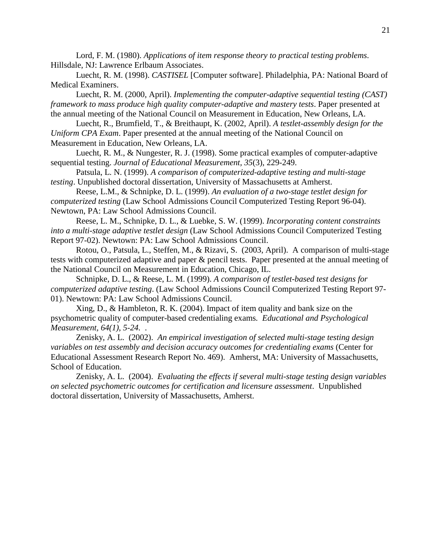Lord, F. M. (1980). *Applications of item response theory to practical testing problems*. Hillsdale, NJ: Lawrence Erlbaum Associates.

Luecht, R. M. (1998). *CASTISEL* [Computer software]. Philadelphia, PA: National Board of Medical Examiners.

Luecht, R. M. (2000, April). *Implementing the computer-adaptive sequential testing (CAST) framework to mass produce high quality computer-adaptive and mastery tests*. Paper presented at the annual meeting of the National Council on Measurement in Education, New Orleans, LA.

Luecht, R., Brumfield, T., & Breithaupt, K. (2002, April). *A testlet-assembly design for the Uniform CPA Exam*. Paper presented at the annual meeting of the National Council on Measurement in Education, New Orleans, LA.

Luecht, R. M., & Nungester, R. J. (1998). Some practical examples of computer-adaptive sequential testing. *Journal of Educational Measurement, 35*(3), 229-249.

Patsula, L. N. (1999). *A comparison of computerized-adaptive testing and multi-stage testing*. Unpublished doctoral dissertation, University of Massachusetts at Amherst.

Reese, L.M., & Schnipke, D. L. (1999). *An evaluation of a two-stage testlet design for computerized testing* (Law School Admissions Council Computerized Testing Report 96-04). Newtown, PA: Law School Admissions Council.

Reese, L. M., Schnipke, D. L., & Luebke, S. W. (1999). *Incorporating content constraints into a multi-stage adaptive testlet design* (Law School Admissions Council Computerized Testing Report 97-02). Newtown: PA: Law School Admissions Council.

Rotou, O., Patsula, L., Steffen, M., & Rizavi, S. (2003, April). A comparison of multi-stage tests with computerized adaptive and paper & pencil tests. Paper presented at the annual meeting of the National Council on Measurement in Education, Chicago, IL.

Schnipke, D. L., & Reese, L. M. (1999). *A comparison of testlet-based test designs for computerized adaptive testing*. (Law School Admissions Council Computerized Testing Report 97- 01). Newtown: PA: Law School Admissions Council.

Xing, D., & Hambleton, R. K. (2004). Impact of item quality and bank size on the psychometric quality of computer-based credentialing exams*. Educational and Psychological Measurement, 64(1), 5-24.* .

Zenisky, A. L. (2002). *An empirical investigation of selected multi-stage testing design variables on test assembly and decision accuracy outcomes for credentialing exams (Center for* Educational Assessment Research Report No. 469). Amherst, MA: University of Massachusetts, School of Education.

Zenisky, A. L. (2004). *Evaluating the effects if several multi-stage testing design variables on selected psychometric outcomes for certification and licensure assessment*. Unpublished doctoral dissertation, University of Massachusetts, Amherst.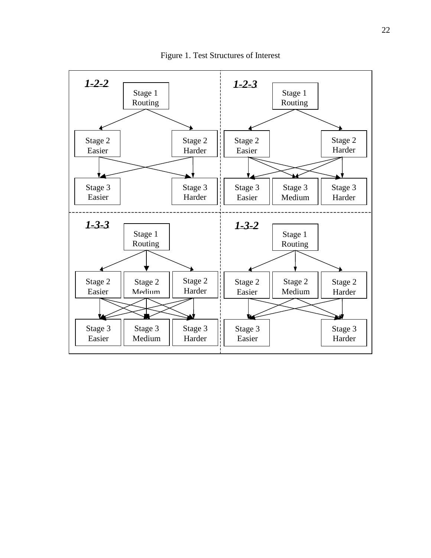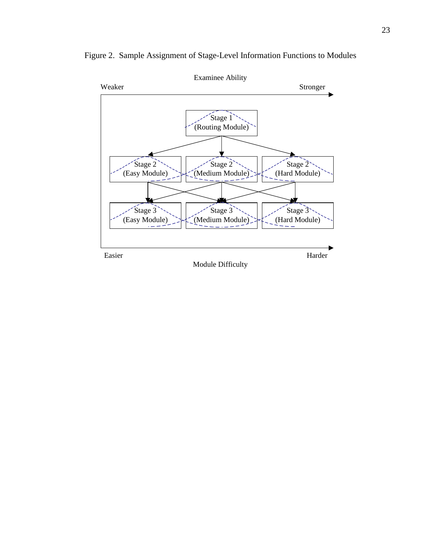

Figure 2. Sample Assignment of Stage-Level Information Functions to Modules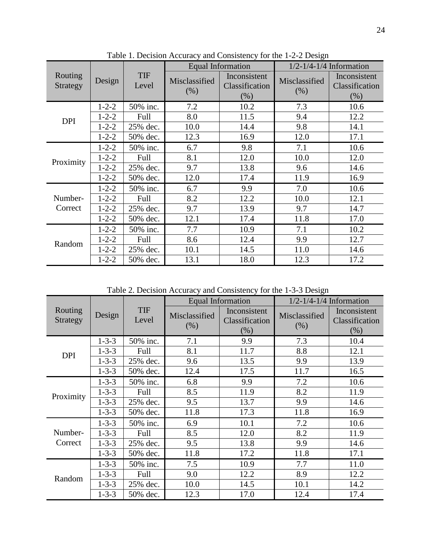|                                               |             |                     |                                                                                                                                                                                                                                                                                                                                  |                                        | $1/2 - 1/4 - 1/4$ Information |                                          |  |
|-----------------------------------------------|-------------|---------------------|----------------------------------------------------------------------------------------------------------------------------------------------------------------------------------------------------------------------------------------------------------------------------------------------------------------------------------|----------------------------------------|-------------------------------|------------------------------------------|--|
| Routing<br>Strategy                           | Design      | <b>TIF</b><br>Level | Misclassified<br>(% )                                                                                                                                                                                                                                                                                                            | Inconsistent<br>Classification<br>(% ) | Misclassified<br>(% )         | Inconsistent<br>Classification<br>$(\%)$ |  |
|                                               | $1 - 2 - 2$ | 50% inc.            | 7.2                                                                                                                                                                                                                                                                                                                              | 10.2                                   | 7.3                           | 10.6                                     |  |
|                                               | $1 - 2 - 2$ | Full                | 8.0                                                                                                                                                                                                                                                                                                                              | 11.5                                   | 9.4                           | 12.2                                     |  |
|                                               | $1 - 2 - 2$ | 25% dec.            | 10.0                                                                                                                                                                                                                                                                                                                             | 14.4                                   | 9.8                           | 14.1                                     |  |
|                                               | $1 - 2 - 2$ | 50% dec.            | <b>Equal Information</b><br>12.3<br>12.0<br>16.9<br>9.8<br>6.7<br>7.1<br>10.0<br>8.1<br>12.0<br>9.7<br>13.8<br>9.6<br>12.0<br>11.9<br>17.4<br>9.9<br>7.0<br>6.7<br>8.2<br>12.2<br>10.0<br>9.7<br>13.9<br>9.7<br>12.1<br>11.8<br>17.4<br>7.7<br>10.9<br>7.1<br>8.6<br>12.4<br>9.9<br>10.1<br>14.5<br>11.0<br>13.1<br>18.0<br>12.3 | 17.1                                   |                               |                                          |  |
|                                               | $1 - 2 - 2$ | 50% inc.            |                                                                                                                                                                                                                                                                                                                                  |                                        |                               | 10.6                                     |  |
|                                               | $1 - 2 - 2$ | Full                |                                                                                                                                                                                                                                                                                                                                  |                                        |                               | 12.0                                     |  |
|                                               | $1 - 2 - 2$ | 25% dec.            |                                                                                                                                                                                                                                                                                                                                  |                                        |                               | 14.6                                     |  |
| <b>DPI</b><br>Proximity<br>Number-<br>Correct | $1 - 2 - 2$ | 50% dec.            |                                                                                                                                                                                                                                                                                                                                  |                                        |                               | 16.9                                     |  |
|                                               | $1 - 2 - 2$ | 50% inc.            |                                                                                                                                                                                                                                                                                                                                  |                                        |                               | 10.6                                     |  |
|                                               | $1 - 2 - 2$ | Full                |                                                                                                                                                                                                                                                                                                                                  |                                        |                               | 12.1                                     |  |
|                                               | $1 - 2 - 2$ | 25% dec.            |                                                                                                                                                                                                                                                                                                                                  |                                        |                               | 14.7                                     |  |
|                                               | $1 - 2 - 2$ | 50% dec.            |                                                                                                                                                                                                                                                                                                                                  |                                        |                               | 17.0                                     |  |
|                                               | $1 - 2 - 2$ | 50% inc.            |                                                                                                                                                                                                                                                                                                                                  |                                        |                               | 10.2                                     |  |
|                                               | $1 - 2 - 2$ | Full                |                                                                                                                                                                                                                                                                                                                                  |                                        |                               | 12.7                                     |  |
|                                               | $1 - 2 - 2$ | 25% dec.            |                                                                                                                                                                                                                                                                                                                                  |                                        |                               | 14.6                                     |  |
| Random                                        | $1 - 2 - 2$ | 50% dec.            |                                                                                                                                                                                                                                                                                                                                  |                                        |                               | 17.2                                     |  |

Table 1. Decision Accuracy and Consistency for the 1-2-2 Design

Table 2. Decision Accuracy and Consistency for the 1-3-3 Design

|                     |                                                                                                                                                                                                                                                                                                                                                                                                                                                                                                                                                                                                                                                                                                                                                           |                                        |      |                              | $1/2 - 1/4 - 1/4$ Information      |      |  |
|---------------------|-----------------------------------------------------------------------------------------------------------------------------------------------------------------------------------------------------------------------------------------------------------------------------------------------------------------------------------------------------------------------------------------------------------------------------------------------------------------------------------------------------------------------------------------------------------------------------------------------------------------------------------------------------------------------------------------------------------------------------------------------------------|----------------------------------------|------|------------------------------|------------------------------------|------|--|
| Routing<br>Strategy | <b>Equal Information</b><br><b>TIF</b><br>Inconsistent<br>Design<br>Misclassified<br>Misclassified<br>Level<br>Classification<br>(% )<br>(% )<br>(% )<br>$1 - 3 - 3$<br>50% inc.<br>7.1<br>9.9<br>7.3<br>8.1<br>8.8<br>$1 - 3 - 3$<br>11.7<br>Full<br>13.5<br>9.9<br>$1 - 3 - 3$<br>25% dec.<br>9.6<br>$1 - 3 - 3$<br>12.4<br>17.5<br>11.7<br>50% dec.<br>9.9<br>7.2<br>$1 - 3 - 3$<br>6.8<br>50% inc.<br>8.2<br>$1 - 3 - 3$<br>8.5<br>11.9<br>Full<br>9.5<br>9.9<br>$1 - 3 - 3$<br>25% dec.<br>13.7<br>$1 - 3 - 3$<br>50% dec.<br>11.8<br>17.3<br>11.8<br>7.2<br>$1 - 3 - 3$<br>50% inc.<br>6.9<br>10.1<br>8.2<br>8.5<br>12.0<br>$1 - 3 - 3$<br>Full<br>9.5<br>9.9<br>$1 - 3 - 3$<br>13.8<br>25% dec.<br>11.8<br>$1 - 3 - 3$<br>17.2<br>11.8<br>50% dec. | Inconsistent<br>Classification<br>(% ) |      |                              |                                    |      |  |
|                     |                                                                                                                                                                                                                                                                                                                                                                                                                                                                                                                                                                                                                                                                                                                                                           |                                        |      |                              |                                    | 10.4 |  |
| <b>DPI</b>          |                                                                                                                                                                                                                                                                                                                                                                                                                                                                                                                                                                                                                                                                                                                                                           |                                        |      |                              |                                    | 12.1 |  |
|                     |                                                                                                                                                                                                                                                                                                                                                                                                                                                                                                                                                                                                                                                                                                                                                           |                                        |      |                              |                                    | 13.9 |  |
|                     |                                                                                                                                                                                                                                                                                                                                                                                                                                                                                                                                                                                                                                                                                                                                                           |                                        |      |                              | 17.1<br>7.7<br>8.9<br>10.1<br>12.4 | 16.5 |  |
|                     |                                                                                                                                                                                                                                                                                                                                                                                                                                                                                                                                                                                                                                                                                                                                                           |                                        |      |                              |                                    | 10.6 |  |
| Proximity           |                                                                                                                                                                                                                                                                                                                                                                                                                                                                                                                                                                                                                                                                                                                                                           |                                        |      |                              |                                    | 11.9 |  |
|                     |                                                                                                                                                                                                                                                                                                                                                                                                                                                                                                                                                                                                                                                                                                                                                           |                                        |      |                              |                                    | 14.6 |  |
|                     |                                                                                                                                                                                                                                                                                                                                                                                                                                                                                                                                                                                                                                                                                                                                                           |                                        |      | 10.9<br>12.2<br>14.5<br>17.0 | 16.9                               |      |  |
|                     |                                                                                                                                                                                                                                                                                                                                                                                                                                                                                                                                                                                                                                                                                                                                                           |                                        |      |                              |                                    | 10.6 |  |
| Number-             |                                                                                                                                                                                                                                                                                                                                                                                                                                                                                                                                                                                                                                                                                                                                                           |                                        |      |                              |                                    | 11.9 |  |
| Correct             |                                                                                                                                                                                                                                                                                                                                                                                                                                                                                                                                                                                                                                                                                                                                                           |                                        |      |                              |                                    | 14.6 |  |
|                     |                                                                                                                                                                                                                                                                                                                                                                                                                                                                                                                                                                                                                                                                                                                                                           |                                        |      |                              |                                    |      |  |
|                     | $1 - 3 - 3$                                                                                                                                                                                                                                                                                                                                                                                                                                                                                                                                                                                                                                                                                                                                               | 50% inc.                               | 7.5  |                              |                                    | 11.0 |  |
| Random              | $1 - 3 - 3$                                                                                                                                                                                                                                                                                                                                                                                                                                                                                                                                                                                                                                                                                                                                               | Full                                   | 9.0  |                              |                                    | 12.2 |  |
|                     | $1 - 3 - 3$                                                                                                                                                                                                                                                                                                                                                                                                                                                                                                                                                                                                                                                                                                                                               | 25% dec.                               | 10.0 |                              |                                    | 14.2 |  |
|                     | $1 - 3 - 3$                                                                                                                                                                                                                                                                                                                                                                                                                                                                                                                                                                                                                                                                                                                                               | 50% dec.                               | 12.3 |                              |                                    | 17.4 |  |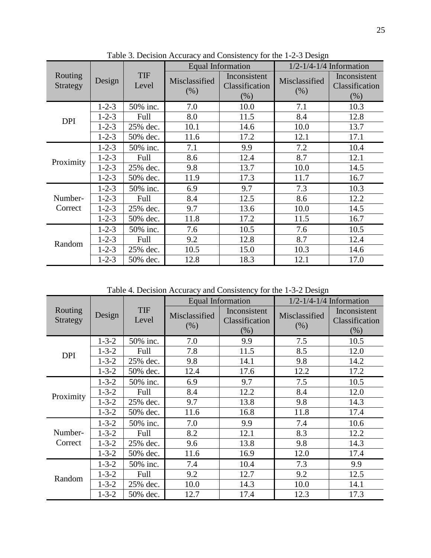|                     |             |                     |                       |                                                                                                                                                                                                                                                                                                                   | $1/2 - 1/4 - 1/4$ Information |                                          |  |
|---------------------|-------------|---------------------|-----------------------|-------------------------------------------------------------------------------------------------------------------------------------------------------------------------------------------------------------------------------------------------------------------------------------------------------------------|-------------------------------|------------------------------------------|--|
| Routing<br>Strategy | Design      | <b>TIF</b><br>Level | Misclassified<br>(% ) | Inconsistent<br>Classification<br>(% )                                                                                                                                                                                                                                                                            | Misclassified<br>(% )         | Inconsistent<br>Classification<br>$(\%)$ |  |
|                     | $1 - 2 - 3$ | 50% inc.            | 7.0                   | 10.0                                                                                                                                                                                                                                                                                                              | 7.1                           | 10.3                                     |  |
| <b>DPI</b>          | $1 - 2 - 3$ | Full                | 8.0                   | 11.5                                                                                                                                                                                                                                                                                                              | 8.4                           | 12.8                                     |  |
|                     | $1 - 2 - 3$ | 25% dec.            | 10.1                  | 14.6                                                                                                                                                                                                                                                                                                              | 10.0                          | 13.7                                     |  |
|                     | $1 - 2 - 3$ | 50% dec.            | 11.6                  | Equal Information<br>12.1<br>17.2<br>9.9<br>7.2<br>7.1<br>8.6<br>8.7<br>12.4<br>9.8<br>13.7<br>10.0<br>11.9<br>17.3<br>11.7<br>6.9<br>9.7<br>7.3<br>8.4<br>12.5<br>8.6<br>9.7<br>13.6<br>10.0<br>11.8<br>17.2<br>11.5<br>10.5<br>7.6<br>7.6<br>8.7<br>9.2<br>12.8<br>10.5<br>15.0<br>10.3<br>12.8<br>18.3<br>12.1 | 17.1                          |                                          |  |
|                     | $1 - 2 - 3$ | 50% inc.            |                       |                                                                                                                                                                                                                                                                                                                   |                               | 10.4                                     |  |
| Proximity           | $1 - 2 - 3$ | Full                |                       |                                                                                                                                                                                                                                                                                                                   |                               | 12.1                                     |  |
|                     | $1 - 2 - 3$ | 25% dec.            |                       |                                                                                                                                                                                                                                                                                                                   |                               | 14.5                                     |  |
|                     | $1 - 2 - 3$ | 50% dec.            |                       |                                                                                                                                                                                                                                                                                                                   |                               | 16.7                                     |  |
|                     | $1 - 2 - 3$ | 50% inc.            |                       |                                                                                                                                                                                                                                                                                                                   |                               | 10.3                                     |  |
| Number-             | $1 - 2 - 3$ | Full                |                       |                                                                                                                                                                                                                                                                                                                   |                               | 12.2                                     |  |
| Correct             | $1 - 2 - 3$ | 25% dec.            |                       |                                                                                                                                                                                                                                                                                                                   |                               | 14.5                                     |  |
|                     | $1 - 2 - 3$ | 50% dec.            |                       |                                                                                                                                                                                                                                                                                                                   |                               | 16.7                                     |  |
|                     | $1 - 2 - 3$ | 50% inc.            |                       |                                                                                                                                                                                                                                                                                                                   |                               | 10.5                                     |  |
| Random              | $1 - 2 - 3$ | Full                |                       |                                                                                                                                                                                                                                                                                                                   |                               | 12.4                                     |  |
|                     | $1 - 2 - 3$ | 25% dec.            |                       |                                                                                                                                                                                                                                                                                                                   |                               | 14.6                                     |  |
|                     | $1 - 2 - 3$ | 50% dec.            |                       |                                                                                                                                                                                                                                                                                                                   |                               | 17.0                                     |  |

Table 3. Decision Accuracy and Consistency for the 1-2-3 Design

Table 4. Decision Accuracy and Consistency for the 1-3-2 Design

|                            |             |                     |                       |                                                                                                                                                                                                                                                                                                                                                                                                             | $1/2 - 1/4 - 1/4$ Information                                                                                       |      |  |
|----------------------------|-------------|---------------------|-----------------------|-------------------------------------------------------------------------------------------------------------------------------------------------------------------------------------------------------------------------------------------------------------------------------------------------------------------------------------------------------------------------------------------------------------|---------------------------------------------------------------------------------------------------------------------|------|--|
| Routing<br><b>Strategy</b> | Design      | <b>TIF</b><br>Level | Misclassified<br>(% ) | Equal Information<br>Inconsistent<br>Misclassified<br>Classification<br>(% )<br>(% )<br>7.0<br>9.9<br>7.5<br>7.8<br>8.5<br>11.5<br>9.8<br>9.8<br>14.1<br>12.4<br>17.6<br>12.2<br>7.5<br>6.9<br>9.7<br>8.4<br>12.2<br>8.4<br>9.7<br>13.8<br>9.8<br>11.8<br>11.6<br>16.8<br>7.0<br>9.9<br>7.4<br>8.2<br>8.3<br>12.1<br>9.8<br>13.8<br>9.6<br>12.0<br>11.6<br>16.9<br>7.3<br>10.4<br>7.4<br>9.2<br>9.2<br>12.7 | Inconsistent<br>Classification<br>(% )                                                                              |      |  |
|                            | $1 - 3 - 2$ | 50% inc.            |                       |                                                                                                                                                                                                                                                                                                                                                                                                             |                                                                                                                     | 10.5 |  |
| <b>DPI</b>                 | $1 - 3 - 2$ | Full                |                       |                                                                                                                                                                                                                                                                                                                                                                                                             |                                                                                                                     | 12.0 |  |
|                            | $1 - 3 - 2$ | 25% dec.            |                       |                                                                                                                                                                                                                                                                                                                                                                                                             |                                                                                                                     | 14.2 |  |
|                            | $1 - 3 - 2$ | 50% dec.            |                       |                                                                                                                                                                                                                                                                                                                                                                                                             | 17.2<br>10.5<br>12.0<br>14.3<br>17.4<br>10.6<br>12.2<br>14.3<br>17.4<br>9.9<br>12.5<br>10.0<br>14.1<br>12.3<br>17.3 |      |  |
|                            | $1 - 3 - 2$ | 50% inc.            |                       |                                                                                                                                                                                                                                                                                                                                                                                                             |                                                                                                                     |      |  |
| Proximity                  | $1 - 3 - 2$ | Full                |                       |                                                                                                                                                                                                                                                                                                                                                                                                             |                                                                                                                     |      |  |
|                            | $1 - 3 - 2$ | 25% dec.            |                       |                                                                                                                                                                                                                                                                                                                                                                                                             |                                                                                                                     |      |  |
|                            | $1 - 3 - 2$ | 50% dec.            |                       | 10.0<br>14.3<br>12.7<br>17.4                                                                                                                                                                                                                                                                                                                                                                                |                                                                                                                     |      |  |
|                            | $1 - 3 - 2$ | 50% inc.            |                       |                                                                                                                                                                                                                                                                                                                                                                                                             |                                                                                                                     |      |  |
| Number-                    | $1 - 3 - 2$ | Full                |                       |                                                                                                                                                                                                                                                                                                                                                                                                             |                                                                                                                     |      |  |
| Correct                    | $1 - 3 - 2$ | 25% dec.            |                       |                                                                                                                                                                                                                                                                                                                                                                                                             |                                                                                                                     |      |  |
|                            | $1 - 3 - 2$ | 50% dec.            |                       |                                                                                                                                                                                                                                                                                                                                                                                                             |                                                                                                                     |      |  |
|                            | $1 - 3 - 2$ | 50% inc.            |                       |                                                                                                                                                                                                                                                                                                                                                                                                             |                                                                                                                     |      |  |
| Random                     | $1 - 3 - 2$ | Full                |                       |                                                                                                                                                                                                                                                                                                                                                                                                             |                                                                                                                     |      |  |
|                            | $1 - 3 - 2$ | 25% dec.            |                       |                                                                                                                                                                                                                                                                                                                                                                                                             |                                                                                                                     |      |  |
|                            | $1 - 3 - 2$ | 50% dec.            |                       |                                                                                                                                                                                                                                                                                                                                                                                                             |                                                                                                                     |      |  |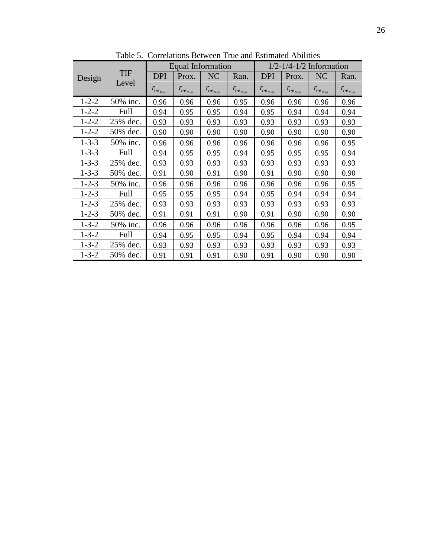|             | <b>TIF</b><br>Level |                                | <b>Equal Information</b>                     |                                                           |                                 |                                  |                                              |                                           | $1/2 - 1/4 - 1/2$ Information<br>NC<br>Ran.<br>$\mathit{r}_{\mathit{t}\cdot\mathit{e}_{\mathit{final}}}$<br>0.96<br>0.94<br>0.93<br>0.90<br>0.90 |  |  |
|-------------|---------------------|--------------------------------|----------------------------------------------|-----------------------------------------------------------|---------------------------------|----------------------------------|----------------------------------------------|-------------------------------------------|--------------------------------------------------------------------------------------------------------------------------------------------------|--|--|
| Design      |                     | <b>DPI</b>                     | Prox.                                        | NC                                                        | Ran.                            | <b>DPI</b>                       | Prox.                                        |                                           |                                                                                                                                                  |  |  |
|             |                     | $r_{t \cdot e_{\text{final}}}$ | $\textit{r}_{\textit{t-e}_{\textit{final}}}$ | $\mathit{r}_{\mathit{t}\cdot\mathit{e}_{\mathit{final}}}$ | $r_{t\cdot e_{\mathit{final}}}$ | $r_{t \cdot e_{\mathit{final}}}$ | $\textit{r}_{\textit{t-e}_{\textit{final}}}$ | $\mathit{r}_{t \cdot e_{\mathit{final}}}$ |                                                                                                                                                  |  |  |
| $1 - 2 - 2$ | 50% inc.            | 0.96                           | 0.96                                         | 0.96                                                      | 0.95                            | 0.96                             | 0.96                                         | 0.96                                      |                                                                                                                                                  |  |  |
| $1 - 2 - 2$ | Full                | 0.94                           | 0.95                                         | 0.95                                                      | 0.94                            | 0.95                             | 0.94                                         | 0.94                                      |                                                                                                                                                  |  |  |
| $1 - 2 - 2$ | 25% dec.            | 0.93                           | 0.93                                         | 0.93                                                      | 0.93                            | 0.93                             | 0.93                                         | 0.93                                      |                                                                                                                                                  |  |  |
| $1 - 2 - 2$ | 50% dec.            | 0.90                           | 0.90                                         | 0.90                                                      | 0.90                            | 0.90                             | 0.90                                         |                                           |                                                                                                                                                  |  |  |
| $1 - 3 - 3$ | 50% inc.            | 0.96                           | 0.96                                         | 0.96                                                      | 0.96                            | 0.96                             | 0.96                                         | 0.96                                      | 0.95                                                                                                                                             |  |  |
| $1 - 3 - 3$ | Full                | 0.94                           | 0.95                                         | 0.95                                                      | 0.94                            | 0.95                             | 0.95                                         | 0.95                                      | 0.94                                                                                                                                             |  |  |
| $1 - 3 - 3$ | 25% dec.            | 0.93                           | 0.93                                         | 0.93                                                      | 0.93                            | 0.93                             | 0.93                                         | 0.93                                      | 0.93                                                                                                                                             |  |  |
| $1 - 3 - 3$ | 50% dec.            | 0.91                           | 0.90                                         | 0.91                                                      | 0.90                            | 0.91                             | 0.90                                         | 0.90                                      | 0.90                                                                                                                                             |  |  |
| $1 - 2 - 3$ | 50% inc.            | 0.96                           | 0.96                                         | 0.96                                                      | 0.96                            | 0.96                             | 0.96                                         | 0.96                                      | 0.95                                                                                                                                             |  |  |
| $1 - 2 - 3$ | Full                | 0.95                           | 0.95                                         | 0.95                                                      | 0.94                            | 0.95                             | 0.94                                         | 0.94                                      | 0.94                                                                                                                                             |  |  |
| $1 - 2 - 3$ | 25% dec.            | 0.93                           | 0.93                                         | 0.93                                                      | 0.93                            | 0.93                             | 0.93                                         | 0.93                                      | 0.93                                                                                                                                             |  |  |
| $1 - 2 - 3$ | 50% dec.            | 0.91                           | 0.91                                         | 0.91                                                      | 0.90                            | 0.91                             | 0.90                                         | 0.90                                      | 0.90                                                                                                                                             |  |  |
| $1 - 3 - 2$ | 50% inc.            | 0.96                           | 0.96                                         | 0.96                                                      | 0.96                            | 0.96                             | 0.96                                         | 0.96                                      | 0.95                                                                                                                                             |  |  |
| $1 - 3 - 2$ | Full                | 0.94                           | 0.95                                         | 0.95                                                      | 0.94                            | 0.95                             | 0.94                                         | 0.94                                      | 0.94                                                                                                                                             |  |  |
| $1 - 3 - 2$ | 25% dec.            | 0.93                           | 0.93                                         | 0.93                                                      | 0.93                            | 0.93                             | 0.93                                         | 0.93                                      | 0.93                                                                                                                                             |  |  |
| $1 - 3 - 2$ | 50% dec.            | 0.91                           | 0.91                                         | 0.91                                                      | 0.90                            | 0.91                             | 0.90                                         | 0.90                                      | 0.90                                                                                                                                             |  |  |

Table 5. Correlations Between True and Estimated Abilities